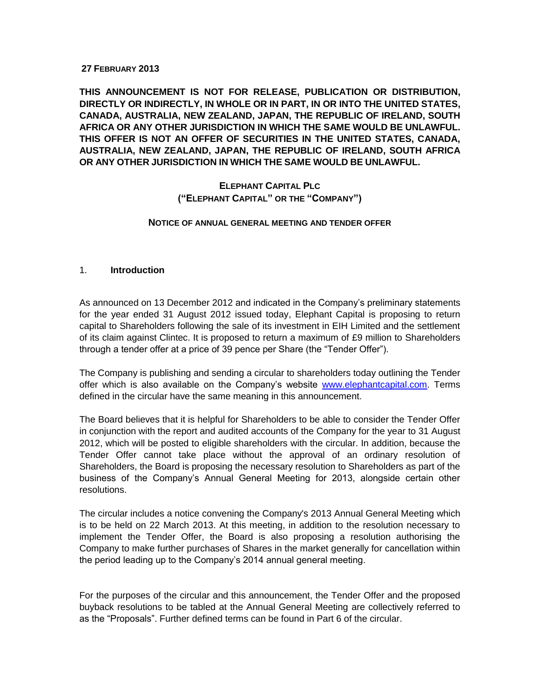#### **27 FEBRUARY 2013**

**THIS ANNOUNCEMENT IS NOT FOR RELEASE, PUBLICATION OR DISTRIBUTION, DIRECTLY OR INDIRECTLY, IN WHOLE OR IN PART, IN OR INTO THE UNITED STATES, CANADA, AUSTRALIA, NEW ZEALAND, JAPAN, THE REPUBLIC OF IRELAND, SOUTH AFRICA OR ANY OTHER JURISDICTION IN WHICH THE SAME WOULD BE UNLAWFUL. THIS OFFER IS NOT AN OFFER OF SECURITIES IN THE UNITED STATES, CANADA, AUSTRALIA, NEW ZEALAND, JAPAN, THE REPUBLIC OF IRELAND, SOUTH AFRICA OR ANY OTHER JURISDICTION IN WHICH THE SAME WOULD BE UNLAWFUL.**

## **ELEPHANT CAPITAL PLC ("ELEPHANT CAPITAL" OR THE "COMPANY")**

#### **NOTICE OF ANNUAL GENERAL MEETING AND TENDER OFFER**

#### 1. **Introduction**

As announced on 13 December 2012 and indicated in the Company's preliminary statements for the year ended 31 August 2012 issued today, Elephant Capital is proposing to return capital to Shareholders following the sale of its investment in EIH Limited and the settlement of its claim against Clintec. It is proposed to return a maximum of £9 million to Shareholders through a tender offer at a price of 39 pence per Share (the "Tender Offer").

The Company is publishing and sending a circular to shareholders today outlining the Tender offer which is also available on the Company's website [www.elephantcapital.com.](http://www.elephantcapital.com/) Terms defined in the circular have the same meaning in this announcement.

The Board believes that it is helpful for Shareholders to be able to consider the Tender Offer in conjunction with the report and audited accounts of the Company for the year to 31 August 2012, which will be posted to eligible shareholders with the circular. In addition, because the Tender Offer cannot take place without the approval of an ordinary resolution of Shareholders, the Board is proposing the necessary resolution to Shareholders as part of the business of the Company's Annual General Meeting for 2013, alongside certain other resolutions.

The circular includes a notice convening the Company's 2013 Annual General Meeting which is to be held on 22 March 2013. At this meeting, in addition to the resolution necessary to implement the Tender Offer, the Board is also proposing a resolution authorising the Company to make further purchases of Shares in the market generally for cancellation within the period leading up to the Company's 2014 annual general meeting.

For the purposes of the circular and this announcement, the Tender Offer and the proposed buyback resolutions to be tabled at the Annual General Meeting are collectively referred to as the "Proposals". Further defined terms can be found in Part 6 of the circular.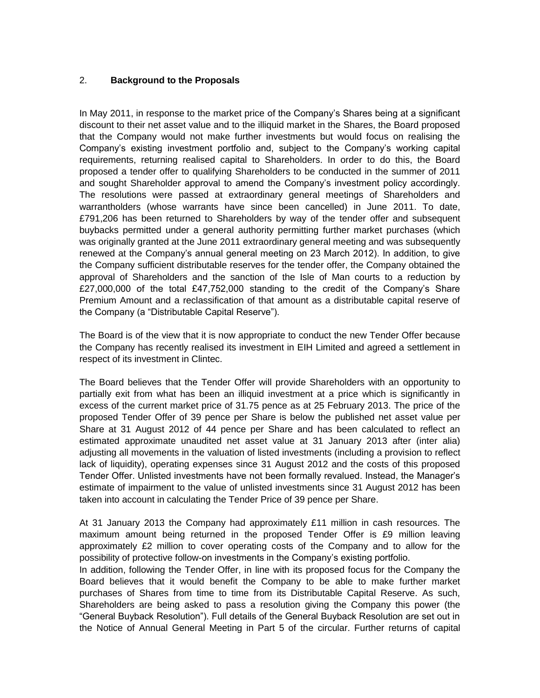#### 2. **Background to the Proposals**

In May 2011, in response to the market price of the Company's Shares being at a significant discount to their net asset value and to the illiquid market in the Shares, the Board proposed that the Company would not make further investments but would focus on realising the Company's existing investment portfolio and, subject to the Company's working capital requirements, returning realised capital to Shareholders. In order to do this, the Board proposed a tender offer to qualifying Shareholders to be conducted in the summer of 2011 and sought Shareholder approval to amend the Company's investment policy accordingly. The resolutions were passed at extraordinary general meetings of Shareholders and warrantholders (whose warrants have since been cancelled) in June 2011. To date, £791,206 has been returned to Shareholders by way of the tender offer and subsequent buybacks permitted under a general authority permitting further market purchases (which was originally granted at the June 2011 extraordinary general meeting and was subsequently renewed at the Company's annual general meeting on 23 March 2012). In addition, to give the Company sufficient distributable reserves for the tender offer, the Company obtained the approval of Shareholders and the sanction of the Isle of Man courts to a reduction by £27,000,000 of the total £47,752,000 standing to the credit of the Company's Share Premium Amount and a reclassification of that amount as a distributable capital reserve of the Company (a "Distributable Capital Reserve").

The Board is of the view that it is now appropriate to conduct the new Tender Offer because the Company has recently realised its investment in EIH Limited and agreed a settlement in respect of its investment in Clintec.

The Board believes that the Tender Offer will provide Shareholders with an opportunity to partially exit from what has been an illiquid investment at a price which is significantly in excess of the current market price of 31.75 pence as at 25 February 2013. The price of the proposed Tender Offer of 39 pence per Share is below the published net asset value per Share at 31 August 2012 of 44 pence per Share and has been calculated to reflect an estimated approximate unaudited net asset value at 31 January 2013 after (inter alia) adjusting all movements in the valuation of listed investments (including a provision to reflect lack of liquidity), operating expenses since 31 August 2012 and the costs of this proposed Tender Offer. Unlisted investments have not been formally revalued. Instead, the Manager's estimate of impairment to the value of unlisted investments since 31 August 2012 has been taken into account in calculating the Tender Price of 39 pence per Share.

At 31 January 2013 the Company had approximately £11 million in cash resources. The maximum amount being returned in the proposed Tender Offer is £9 million leaving approximately £2 million to cover operating costs of the Company and to allow for the possibility of protective follow-on investments in the Company's existing portfolio.

In addition, following the Tender Offer, in line with its proposed focus for the Company the Board believes that it would benefit the Company to be able to make further market purchases of Shares from time to time from its Distributable Capital Reserve. As such, Shareholders are being asked to pass a resolution giving the Company this power (the "General Buyback Resolution"). Full details of the General Buyback Resolution are set out in the Notice of Annual General Meeting in Part 5 of the circular. Further returns of capital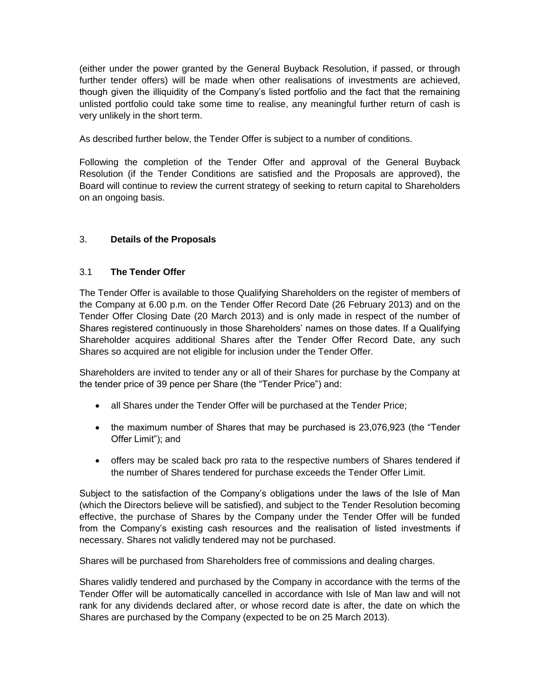(either under the power granted by the General Buyback Resolution, if passed, or through further tender offers) will be made when other realisations of investments are achieved, though given the illiquidity of the Company's listed portfolio and the fact that the remaining unlisted portfolio could take some time to realise, any meaningful further return of cash is very unlikely in the short term.

As described further below, the Tender Offer is subject to a number of conditions.

Following the completion of the Tender Offer and approval of the General Buyback Resolution (if the Tender Conditions are satisfied and the Proposals are approved), the Board will continue to review the current strategy of seeking to return capital to Shareholders on an ongoing basis.

# 3. **Details of the Proposals**

## 3.1 **The Tender Offer**

The Tender Offer is available to those Qualifying Shareholders on the register of members of the Company at 6.00 p.m. on the Tender Offer Record Date (26 February 2013) and on the Tender Offer Closing Date (20 March 2013) and is only made in respect of the number of Shares registered continuously in those Shareholders' names on those dates. If a Qualifying Shareholder acquires additional Shares after the Tender Offer Record Date, any such Shares so acquired are not eligible for inclusion under the Tender Offer.

Shareholders are invited to tender any or all of their Shares for purchase by the Company at the tender price of 39 pence per Share (the "Tender Price") and:

- all Shares under the Tender Offer will be purchased at the Tender Price;
- the maximum number of Shares that may be purchased is 23,076,923 (the "Tender Offer Limit"); and
- offers may be scaled back pro rata to the respective numbers of Shares tendered if the number of Shares tendered for purchase exceeds the Tender Offer Limit.

Subject to the satisfaction of the Company's obligations under the laws of the Isle of Man (which the Directors believe will be satisfied), and subject to the Tender Resolution becoming effective, the purchase of Shares by the Company under the Tender Offer will be funded from the Company's existing cash resources and the realisation of listed investments if necessary. Shares not validly tendered may not be purchased.

Shares will be purchased from Shareholders free of commissions and dealing charges.

Shares validly tendered and purchased by the Company in accordance with the terms of the Tender Offer will be automatically cancelled in accordance with Isle of Man law and will not rank for any dividends declared after, or whose record date is after, the date on which the Shares are purchased by the Company (expected to be on 25 March 2013).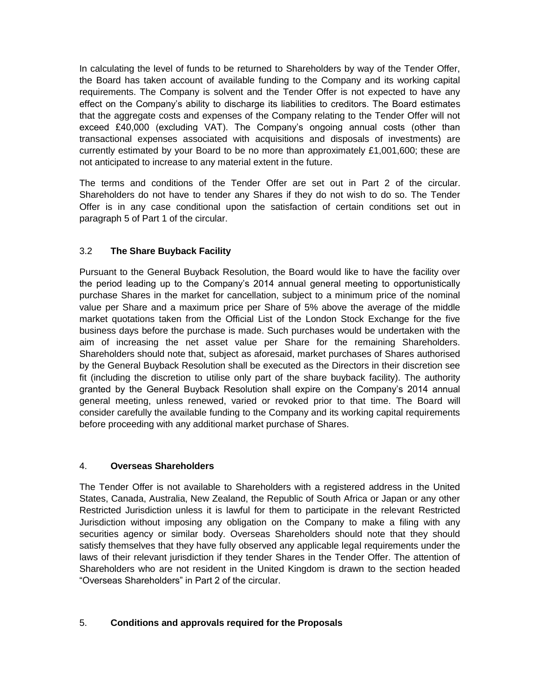In calculating the level of funds to be returned to Shareholders by way of the Tender Offer, the Board has taken account of available funding to the Company and its working capital requirements. The Company is solvent and the Tender Offer is not expected to have any effect on the Company's ability to discharge its liabilities to creditors. The Board estimates that the aggregate costs and expenses of the Company relating to the Tender Offer will not exceed £40,000 (excluding VAT). The Company's ongoing annual costs (other than transactional expenses associated with acquisitions and disposals of investments) are currently estimated by your Board to be no more than approximately £1,001,600; these are not anticipated to increase to any material extent in the future.

The terms and conditions of the Tender Offer are set out in Part 2 of the circular. Shareholders do not have to tender any Shares if they do not wish to do so. The Tender Offer is in any case conditional upon the satisfaction of certain conditions set out in paragraph 5 of Part 1 of the circular.

# 3.2 **The Share Buyback Facility**

Pursuant to the General Buyback Resolution, the Board would like to have the facility over the period leading up to the Company's 2014 annual general meeting to opportunistically purchase Shares in the market for cancellation, subject to a minimum price of the nominal value per Share and a maximum price per Share of 5% above the average of the middle market quotations taken from the Official List of the London Stock Exchange for the five business days before the purchase is made. Such purchases would be undertaken with the aim of increasing the net asset value per Share for the remaining Shareholders. Shareholders should note that, subject as aforesaid, market purchases of Shares authorised by the General Buyback Resolution shall be executed as the Directors in their discretion see fit (including the discretion to utilise only part of the share buyback facility). The authority granted by the General Buyback Resolution shall expire on the Company's 2014 annual general meeting, unless renewed, varied or revoked prior to that time. The Board will consider carefully the available funding to the Company and its working capital requirements before proceeding with any additional market purchase of Shares.

## 4. **Overseas Shareholders**

The Tender Offer is not available to Shareholders with a registered address in the United States, Canada, Australia, New Zealand, the Republic of South Africa or Japan or any other Restricted Jurisdiction unless it is lawful for them to participate in the relevant Restricted Jurisdiction without imposing any obligation on the Company to make a filing with any securities agency or similar body. Overseas Shareholders should note that they should satisfy themselves that they have fully observed any applicable legal requirements under the laws of their relevant jurisdiction if they tender Shares in the Tender Offer. The attention of Shareholders who are not resident in the United Kingdom is drawn to the section headed "Overseas Shareholders" in Part 2 of the circular.

## 5. **Conditions and approvals required for the Proposals**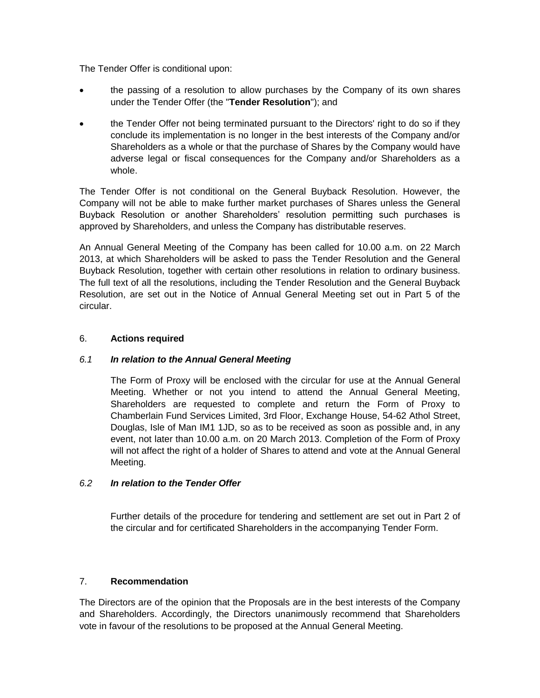The Tender Offer is conditional upon:

- the passing of a resolution to allow purchases by the Company of its own shares under the Tender Offer (the "**Tender Resolution**"); and
- the Tender Offer not being terminated pursuant to the Directors' right to do so if they conclude its implementation is no longer in the best interests of the Company and/or Shareholders as a whole or that the purchase of Shares by the Company would have adverse legal or fiscal consequences for the Company and/or Shareholders as a whole.

The Tender Offer is not conditional on the General Buyback Resolution. However, the Company will not be able to make further market purchases of Shares unless the General Buyback Resolution or another Shareholders' resolution permitting such purchases is approved by Shareholders, and unless the Company has distributable reserves.

An Annual General Meeting of the Company has been called for 10.00 a.m. on 22 March 2013, at which Shareholders will be asked to pass the Tender Resolution and the General Buyback Resolution, together with certain other resolutions in relation to ordinary business. The full text of all the resolutions, including the Tender Resolution and the General Buyback Resolution, are set out in the Notice of Annual General Meeting set out in Part 5 of the circular.

#### 6. **Actions required**

## *6.1 In relation to the Annual General Meeting*

The Form of Proxy will be enclosed with the circular for use at the Annual General Meeting. Whether or not you intend to attend the Annual General Meeting, Shareholders are requested to complete and return the Form of Proxy to Chamberlain Fund Services Limited, 3rd Floor, Exchange House, 54-62 Athol Street, Douglas, Isle of Man IM1 1JD, so as to be received as soon as possible and, in any event, not later than 10.00 a.m. on 20 March 2013. Completion of the Form of Proxy will not affect the right of a holder of Shares to attend and vote at the Annual General Meeting.

## *6.2 In relation to the Tender Offer*

Further details of the procedure for tendering and settlement are set out in Part 2 of the circular and for certificated Shareholders in the accompanying Tender Form.

## 7. **Recommendation**

The Directors are of the opinion that the Proposals are in the best interests of the Company and Shareholders. Accordingly, the Directors unanimously recommend that Shareholders vote in favour of the resolutions to be proposed at the Annual General Meeting.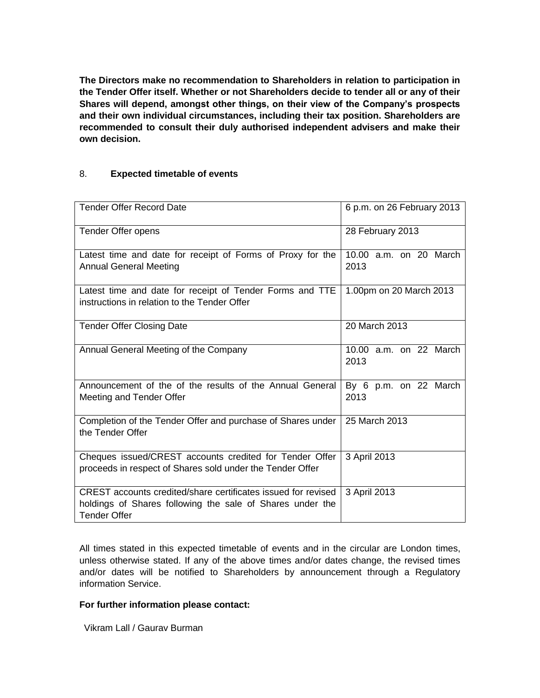**The Directors make no recommendation to Shareholders in relation to participation in the Tender Offer itself. Whether or not Shareholders decide to tender all or any of their Shares will depend, amongst other things, on their view of the Company's prospects and their own individual circumstances, including their tax position. Shareholders are recommended to consult their duly authorised independent advisers and make their own decision.**

#### 8. **Expected timetable of events**

| <b>Tender Offer Record Date</b>                                                                                                                   | 6 p.m. on 26 February 2013     |  |
|---------------------------------------------------------------------------------------------------------------------------------------------------|--------------------------------|--|
| Tender Offer opens                                                                                                                                | 28 February 2013               |  |
| Latest time and date for receipt of Forms of Proxy for the<br><b>Annual General Meeting</b>                                                       | 10.00 a.m. on 20 March<br>2013 |  |
| Latest time and date for receipt of Tender Forms and TTE<br>instructions in relation to the Tender Offer                                          | 1.00pm on 20 March 2013        |  |
| <b>Tender Offer Closing Date</b>                                                                                                                  | 20 March 2013                  |  |
| Annual General Meeting of the Company                                                                                                             | 10.00 a.m. on 22 March<br>2013 |  |
| Announcement of the of the results of the Annual General<br>Meeting and Tender Offer                                                              | By 6 p.m. on 22 March<br>2013  |  |
| Completion of the Tender Offer and purchase of Shares under<br>the Tender Offer                                                                   | 25 March 2013                  |  |
| Cheques issued/CREST accounts credited for Tender Offer<br>proceeds in respect of Shares sold under the Tender Offer                              | 3 April 2013                   |  |
| CREST accounts credited/share certificates issued for revised<br>holdings of Shares following the sale of Shares under the<br><b>Tender Offer</b> | 3 April 2013                   |  |

All times stated in this expected timetable of events and in the circular are London times, unless otherwise stated. If any of the above times and/or dates change, the revised times and/or dates will be notified to Shareholders by announcement through a Regulatory information Service.

#### **For further information please contact:**

Vikram Lall / Gaurav Burman